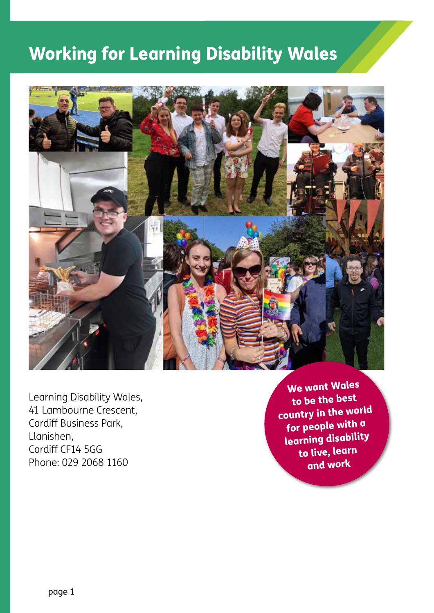## Working for Learning Disability Wales



Learning Disability Wales, 41 Lambourne Crescent, Cardiff Business Park, Llanishen, Cardiff CF14 5GG Phone: 029 2068 1160

We want Wales to be the best country in the world for people with a learning disability to live, learn and work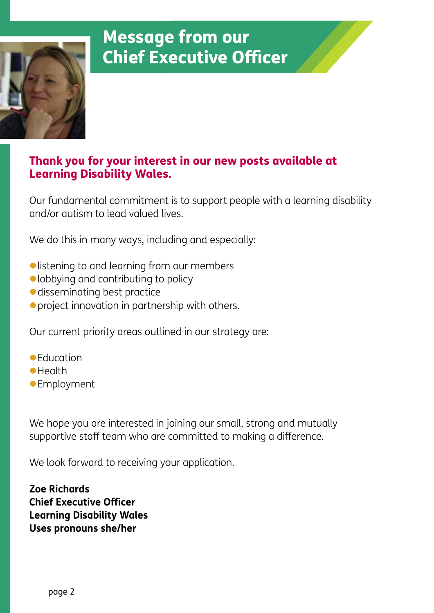

### Thank you for your interest in our new posts available at Learning Disability Wales.

Our fundamental commitment is to support people with a learning disability and/or autism to lead valued lives.

We do this in many ways, including and especially:

- listening to and learning from our members
- $\bullet$  lobbying and contributing to policy
- $\bullet$  disseminating best practice
- $\bullet$  project innovation in partnership with others.

Our current priority areas outlined in our strategy are:

- $\bullet$ Education
- **•**Health
- **•** Employment

We hope you are interested in joining our small, strong and mutually supportive staff team who are committed to making a difference.

We look forward to receiving your application.

**Zoe Richards Chief Executive Officer Learning Disability Wales Uses pronouns she/her**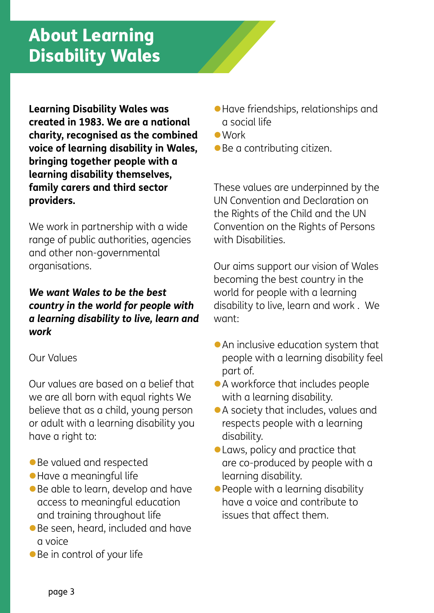**Learning Disability Wales was created in 1983. We are a national charity, recognised as the combined voice of learning disability in Wales, bringing together people with a learning disability themselves, family carers and third sector providers.**

We work in partnership with a wide range of public authorities, agencies and other non-governmental organisations.

### *We want Wales to be the best country in the world for people with a learning disability to live, learn and work*

### Our Values

Our values are based on a belief that we are all born with equal rights We believe that as a child, young person or adult with a learning disability you have a right to:

- $\bullet$  Be valued and respected
- **Have a meaningful life**
- $\bullet$  Be able to learn, develop and have access to meaningful education and training throughout life
- **Be seen, heard, included and have** a voice
- $\bullet$  Be in control of your life
- **Have friendships, relationships and** a social life
- $\bullet$  Work
- $\bullet$  Be a contributing citizen.

These values are underpinned by the UN Convention and Declaration on the Rights of the Child and the UN Convention on the Rights of Persons with Disabilities.

Our aims support our vision of Wales becoming the best country in the world for people with a learning disability to live, learn and work . We want:

- $\bullet$  An inclusive education system that people with a learning disability feel part of.
- A workforce that includes people with a learning disability.
- A society that includes, values and respects people with a learning disability.
- **Laws, policy and practice that** are co-produced by people with a learning disability.
- $\bullet$  People with a learning disability have a voice and contribute to issues that affect them.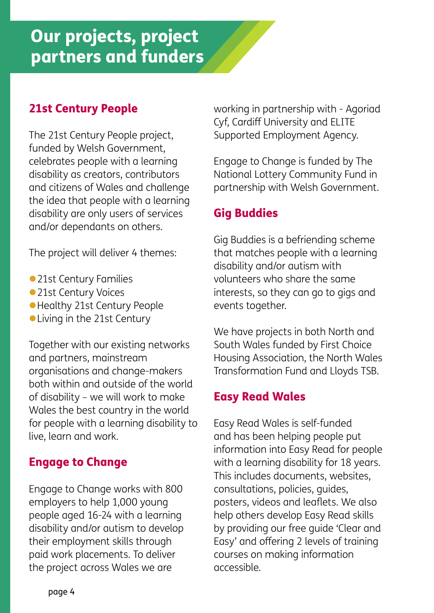## Our projects, project partners and funders

### 21st Century People

The 21st Century People project, funded by Welsh Government, celebrates people with a learning disability as creators, contributors and citizens of Wales and challenge the idea that people with a learning disability are only users of services and/or dependants on others.

The project will deliver 4 themes:

- 21st Century Families
- •21st Century Voices
- **Healthy 21st Century People**
- Living in the 21st Century

Together with our existing networks and partners, mainstream organisations and change-makers both within and outside of the world of disability – we will work to make Wales the best country in the world for people with a learning disability to live, learn and work.

### Engage to Change

Engage to Change works with 800 employers to help 1,000 young people aged 16-24 with a learning disability and/or autism to develop their employment skills through paid work placements. To deliver the project across Wales we are

working in partnership with - Agoriad Cyf, Cardiff University and ELITE Supported Employment Agency.

Engage to Change is funded by The National Lottery Community Fund in partnership with Welsh Government.

### Gig Buddies

Gig Buddies is a befriending scheme that matches people with a learning disability and/or autism with volunteers who share the same interests, so they can go to gigs and events together.

We have projects in both North and South Wales funded by First Choice Housing Association, the North Wales Transformation Fund and Lloyds TSB.

### Easy Read Wales

Easy Read Wales is self-funded and has been helping people put information into Easy Read for people with a learning disability for 18 years. This includes documents, websites, consultations, policies, guides, posters, videos and leaflets. We also help others develop Easy Read skills by providing our free guide 'Clear and Easy' and offering 2 levels of training courses on making information accessible.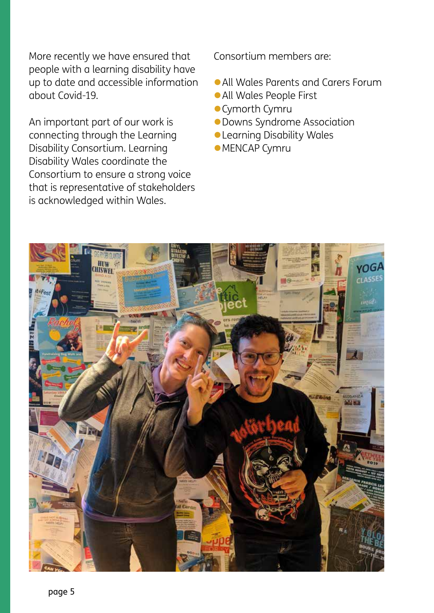More recently we have ensured that people with a learning disability have up to date and accessible information about Covid-19.

An important part of our work is connecting through the Learning Disability Consortium. Learning Disability Wales coordinate the Consortium to ensure a strong voice that is representative of stakeholders is acknowledged within Wales.

Consortium members are:

- All Wales Parents and Carers Forum
- **All Wales People First**
- **Cymorth Cymru**
- **Downs Syndrome Association**
- **Learning Disability Wales**
- **•MENCAP Cymru**

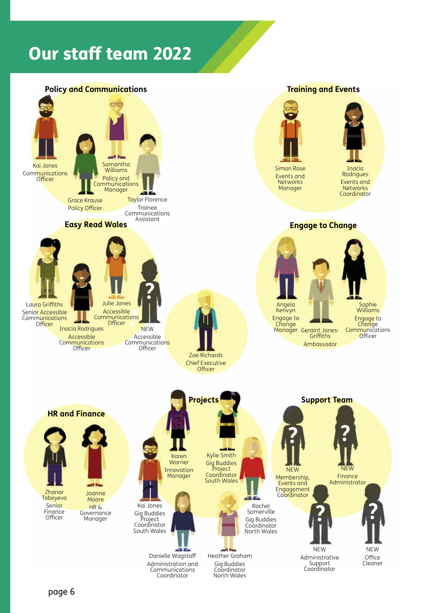## Our staff team 2022

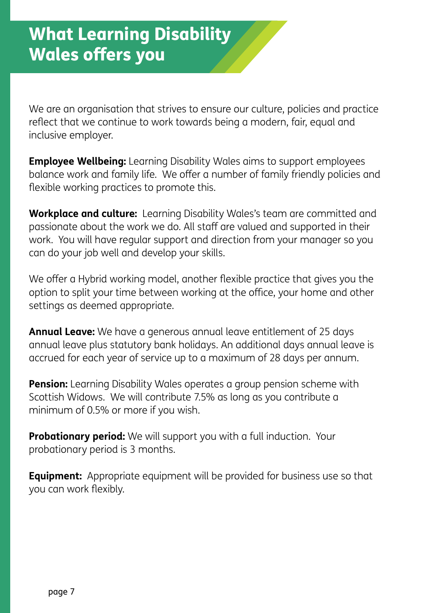We are an organisation that strives to ensure our culture, policies and practice reflect that we continue to work towards being a modern, fair, equal and inclusive employer.

**Employee Wellbeing:** Learning Disability Wales aims to support employees balance work and family life. We offer a number of family friendly policies and flexible working practices to promote this.

**Workplace and culture:** Learning Disability Wales's team are committed and passionate about the work we do. All staff are valued and supported in their work. You will have regular support and direction from your manager so you can do your job well and develop your skills.

We offer a Hybrid working model, another flexible practice that gives you the option to split your time between working at the office, your home and other settings as deemed appropriate.

**Annual Leave:** We have a generous annual leave entitlement of 25 days annual leave plus statutory bank holidays. An additional days annual leave is accrued for each year of service up to a maximum of 28 days per annum.

**Pension:** Learning Disability Wales operates a group pension scheme with Scottish Widows. We will contribute 7.5% as long as you contribute a minimum of 0.5% or more if you wish.

**Probationary period:** We will support you with a full induction. Your probationary period is 3 months.

**Equipment:** Appropriate equipment will be provided for business use so that you can work flexibly.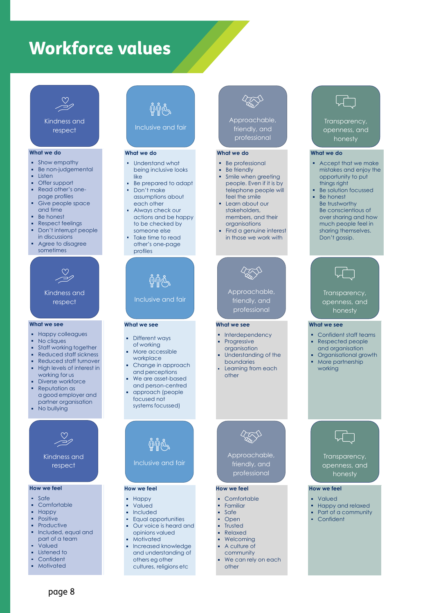## Workforce values

**What we do**

respect

Listen

Offer support

page profiles

and time Be honest

**What we see**

respect

**How we feel** Safe Comfortable Happy Positive

respect

Comfortable

Listened to

Kindness and respect

Valued Listened to Confident Motivated

No cliques

respect

 $W_{\rm eff}$  Force  $V_{\rm eff}$   $\sim$ 

Kindness and respect



respect respect

#### **What we do What we do**

- ò. Show empathy Show empathy Show empathy Show empathy
- ò. Be non-judgemental Be non-judgemental Be non-judgemental
- ä Listen
- ä, Offer support  $\bullet$ pport $\hspace{1cm}$
- å. Read other's one-Read other's one-Read other's onepage profiles page profiles page profiles
- Give people space Give people space Give people space and time and time
- Be honest est in the ho
- Respect feelings Respect feelings :t feelings **comparison** a. Don't interrupt people Don't interrupt people Don't interrupt people
- in discussions in discussions Agree to disagree Agree to disagree Agree to disagree sometimes sometimes in discussions sometimes in discussions

Kindness and Kindness and respect respect Kindness and

#### **What we see What we see**

- Happy colleagues Happy colleagues Happy colleagues
- ň. No cliques No cliques
- å, Staff working together brking together working to the state of the state of the state of the state of the state of the state of the s
- ò Reduced staff sickness Reduced staff sickness Reduced staff sickness
- ä, Reduced staff turnover Reduced staff turnover Reduced staff turnover ä
- High levels of interest in High levels of interest in High levels of interest in working for us working for us working for us working for us
- Diverse workforce Diverse workforce Diverse workforce Reputation as Reputation as a good employer and a good employer and a goodemployer and Reputation as
- partner organisation partner organisation partner organisation No bullying No bullying No bullying No bullying



Kindness and Kindness and Kindness and respect respect

#### **How we feel How we feel**

- Safe
- **Comfortable** table to the state of  $\sim$
- Happy ä.
- **Positive** a.
- Productive Productive Productive Productive a. Included, equal and  $\cdot$ d, equal and  $\qquad$   $\qquad$
- part of a team part of a team part of a team Valued
- Listened to Listened to
- Confident Confident
- L. Motivated Motivated

## $\tilde{\phi}$ ଳିଙ

Work Force Values

Work Force Values

Work Force Values

**Inclusive and fair Inclusive and fair** 

#### **What we do What we do What we do**

- Understand what Understand what Understand what Understand what d<sub>being</sub> inclusive looks Be friendly
- Be prepared to adapt Be prepared to adapt Be prepared to adapt Be prepared to adapt Offer support like
- **Read on** Don't make assumptions about each other Give people space each other each other
- Always check our Always check our Always check our Always check our actions and be happy actions and be happy to be checked by to be checked by to be checked by to be checked by ble interrupt personne else stakeholders, Respect feelings
- **Take time to read** other's one-page and agree to disagree to disagree to disagree to disagree to the state of the state of the state of the state of the state of the state of the state of the state of the state of the state of the state of t profiles profiles

## $\phi$ ທີ່ທີ່

**Inclusive and fair** Kindness and

#### **What we see What we see What we see**

- Different ways Happy colleagues Different ways Different ways Different ways of working of working of working
- er<br>
More accessible ess workplace<br>Workplace
- Change in approach Reduced staff turnover Change in approach Change in approach Change in approach and perceptions High levels of interest in and perceptions and perceptions and perceptions
- We are asset-based We are asset-based We are asset-based We are asset-based and person-centred and person-centred and person-centred and person-centred approach (people approach (people approach (people approach (people focused not a good employer and focused not focused not systems focussed) partner organisation systems focussed) systems focussed) systems focussed) Diverse workforce Reputation as

# $\tilde{\mathbb{Q}}$ ଳୁଙ

**Inclusive and fair Inclusive and fair** 

#### **How we feel How we feel How we feel**

- Happy Happy Happy
- Valued Valued Valued
- **Included**
- Equal opportunities Equal opportunities Equal opportunities Equal opportunities ■ Our voice is heard and ■ Trusted and decline the opinions valued and the bound opinions valued and the bound opinions valued and the bound opinions o

Comfortable

friendly, and professional

**How we feel How we feel How we feel** Comfortable Comfortable Comfortable Familiar Familiar Familiar

> Safe Open **F** Trusted

Safe Open

other

Relaxed Relaxed Relaxed Welcoming Welcoming Welcoming A culture of A culture of A culture of community community community

other

Welcoming

- Motivated Motivated Motivated part of a team
	- **Increased knowledge** and understanding of **and understanding** of others eg other others eg other others eg other others eg other cultures, religions etc We can rely on each We can rely on each We can rely on each We can rely on each



**Transparency Approachable, Approachable, Approachable, Approachable, Approachable, Approachable, Approachable, Approachable, Approachable, Approachable, Approachable, Approachable, Approachable, Approachable, Approachable** friendly, and professional openness, and **friendly, and** professional professional professional

#### **What we do What we do What we do**

- Be professional Be professional Be professional Be professional
	- Be friendly Be friendly Be friendly
- **opportunity to put Smile when greeting to put to put to put to put to put to put to put to put to put to put to put to put to put to put to put to put to put to put to put to put to put to put to put to put to put to put** people. Even if it is by things right people. Even if it is by people. Even if it is by people. Even if it is by telephone people will the solution of the solution of the solution of the solution of the solution of the solution of the solution of the solution of the solution of the solution of the solution of the solution of the solu feel the smile Be honest feel the smile feel the smile feel the smile

Learn about our Learn about our Learn about our Learn about our v members, and their share and their share of the sound their share of the sound their share of the sound the sound the sound the sound the sound the sound the sound the sound the sound the sound the sound the sound the so organisations  $\mathbf{B}$  trustworthy  $\mathbf{B}$ Be conscientious of much people feel in stakeholders, stakeholders, stakeholders, organisations organisations organisations

**Find a genuine interest** in those we work with



Approachable, Approachable, Approachable, Approachable, friendly, and professional  $\mathsf{e}_r$  . The set of  $\mathsf{e}_r$ openness, and **friendly, and** professional professional professional

**What we see**

honesty

**What we see**

working

Confident

openness, and honesty

> **How we feel** Valued

#### **What we see What we see What we see**

- Interdependency **Interdependency**
- Progressive organisation Respected people and organisation Progressive Progressive Progressive organisation organisation organisation
- **Example 3** Understanding of the **Campbell Growth Contract Contract Contract Contract Contract Contract Contract Contract Contract Contract Contract Contract Contract Contract Contract Contract Contract Contract Contract C**
- boundaries **Learning from each** More partnership boundaries boundaries boundaries other other

**Transparency Approachable, Approachable,** 

**friendly, and** professional professional professional

Trusted

### $\Box$

**Transparency,** openness, and openness, and openness, and honesty honesty honesty

#### **What we do What we do**

honesty

**What we do**

- Accept that we make Accept that we make Accept that we make Accept that we make mistakes and enjoy the mistakes and enjoy the mistakes and enjoy the mistakes and enjoy the opportunity to put opportunity to put opportunity to put **things right** things right
	- Be solution focussed Be solution focussed Besolution focussed Be honest
	- Be honest Be honest Be trustworthy Be trustworthy Be trustworthy Be conscientious of Be conscientious of Be conscientious of over sharing and how over sharing and how over sharing and how much people feel in much people feel in much people feel in sharing themselves. sharing themselves. sharing themselves. Don't gossip. Don't gossip. Don't gossip.



**Transparency,** openness, and openness, and openness, and honesty honesty honesty

#### **What we see What we see**

- Confident staff teams Confident staff teams Confident staff teams
- Respected people Respected people Respected people
- and organisation and organisation and organisation Organisational growth Organisational growth Organisational growth
- More partnership More partnership More partnership working

**Transparency,** openness, and openness, and openness, and honesty honesty honesty

 $\Box^-$ 

#### **How we feel How we feel**

- Valued Valued
- Happy and relaxed **Happy and relaxed**
- Part of a community Part of a community Part of a community Part of a community
	- Confident Confident Confident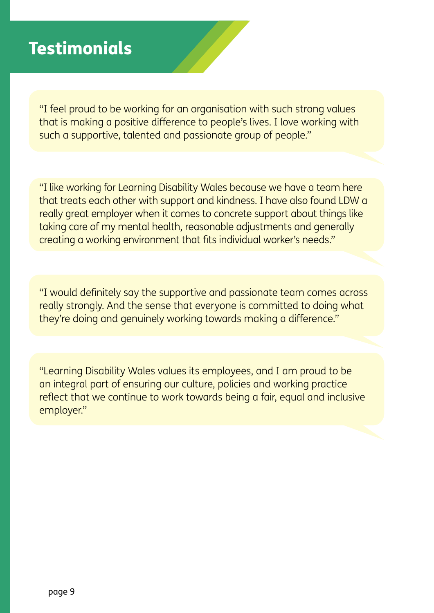## **Testimonials**

"I feel proud to be working for an organisation with such strong values that is making a positive difference to people's lives. I love working with such a supportive, talented and passionate group of people."

"I like working for Learning Disability Wales because we have a team here that treats each other with support and kindness. I have also found LDW a really great employer when it comes to concrete support about things like taking care of my mental health, reasonable adjustments and generally creating a working environment that fits individual worker's needs."

"I would definitely say the supportive and passionate team comes across really strongly. And the sense that everyone is committed to doing what they're doing and genuinely working towards making a difference."

"Learning Disability Wales values its employees, and I am proud to be an integral part of ensuring our culture, policies and working practice reflect that we continue to work towards being a fair, equal and inclusive employer."